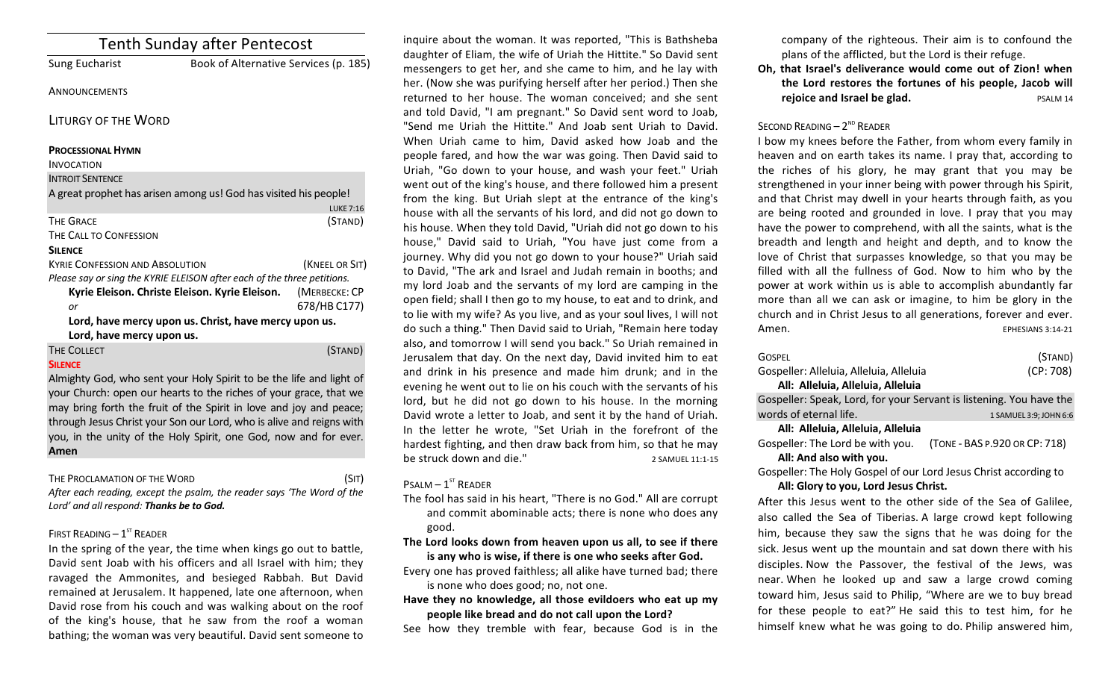|                                                                         | <b>Tenth Sunday after Pentecost</b>   |                  |
|-------------------------------------------------------------------------|---------------------------------------|------------------|
| <b>Sung Eucharist</b>                                                   | Book of Alternative Services (p. 185) |                  |
| <b>ANNOUNCEMENTS</b>                                                    |                                       |                  |
| <b>LITURGY OF THE WORD</b>                                              |                                       |                  |
| <b>PROCESSIONAL HYMN</b>                                                |                                       |                  |
| <b>INVOCATION</b>                                                       |                                       |                  |
| <b>INTROIT SENTENCE</b>                                                 |                                       |                  |
| A great prophet has arisen among us! God has visited his people!        |                                       |                  |
|                                                                         |                                       | <b>LUKE 7:16</b> |
| <b>THE GRACE</b>                                                        |                                       | (STAND)          |
| THE CALL TO CONFESSION                                                  |                                       |                  |
| <b>SILENCE</b>                                                          |                                       |                  |
| <b>KYRIE CONFESSION AND ABSOLUTION</b>                                  |                                       | (KNEEL OR SIT)   |
| Please say or sing the KYRIE ELEISON after each of the three petitions. |                                       |                  |
| Kyrie Eleison. Christe Eleison. Kyrie Eleison.                          |                                       | (MERBECKE: CP    |
| or                                                                      |                                       | 678/HB C177)     |
| Lord, have mercy upon us. Christ, have mercy upon us.                   |                                       |                  |
| Lord, have mercy upon us.                                               |                                       |                  |
| THE COLLECT                                                             |                                       | (STAND)          |
| <b>SILENCE</b>                                                          |                                       |                  |
| Almighty God, who sent your Holy Spirit to be the life and light of     |                                       |                  |
| your Church: open our hearts to the riches of your grace, that we       |                                       |                  |
| may bring forth the fruit of the Spirit in love and joy and peace;      |                                       |                  |
| through Jesus Christ your Son our Lord, who is alive and reigns with    |                                       |                  |
| you, in the unity of the Holy Spirit, one God, now and for ever.        |                                       |                  |

**Amen**

THE PROCLAMATION OF THE WORD (SIT)

After each reading, except the psalm, the reader says 'The Word of the Lord' and all respond: Thanks be to God.

# FIRST READING  $-1<sup>ST</sup>$  READER

In the spring of the year, the time when kings go out to battle, David sent Joab with his officers and all Israel with him; they ravaged the Ammonites, and besieged Rabbah. But David remained at Jerusalem. It happened, late one afternoon, when David rose from his couch and was walking about on the roof of the king's house, that he saw from the roof a woman bathing; the woman was very beautiful. David sent someone to

inquire about the woman. It was reported, "This is Bathsheba daughter of Eliam, the wife of Uriah the Hittite." So David sent messengers to get her, and she came to him, and he lay with her. (Now she was purifying herself after her period.) Then she returned to her house. The woman conceived; and she sent and told David, "I am pregnant." So David sent word to Joab, "Send me Uriah the Hittite." And Joab sent Uriah to David. When Uriah came to him, David asked how Joab and the people fared, and how the war was going. Then David said to Uriah, "Go down to your house, and wash your feet." Uriah went out of the king's house, and there followed him a present from the king. But Uriah slept at the entrance of the king's house with all the servants of his lord, and did not go down to his house. When they told David, "Uriah did not go down to his house," David said to Uriah, "You have just come from a journey. Why did you not go down to your house?" Uriah said to David, "The ark and Israel and Judah remain in booths; and my lord Joab and the servants of my lord are camping in the open field; shall I then go to my house, to eat and to drink, and to lie with my wife? As you live, and as your soul lives, I will not do such a thing." Then David said to Uriah, "Remain here today also, and tomorrow I will send you back." So Uriah remained in Jerusalem that day. On the next day, David invited him to eat and drink in his presence and made him drunk; and in the evening he went out to lie on his couch with the servants of his lord, but he did not go down to his house. In the morning David wrote a letter to Joab, and sent it by the hand of Uriah. In the letter he wrote, "Set Uriah in the forefront of the hardest fighting, and then draw back from him, so that he may be struck down and die." <br>2 SAMUEL 11:1-15

# $P$ SALM –  $1^{ST}$  RFADER

The fool has said in his heart, "There is no God." All are corrupt and commit abominable acts; there is none who does any good. 

The Lord looks down from heaven upon us all, to see if there **is any who is wise, if there is one who seeks after God.** 

Every one has proved faithless; all alike have turned bad; there is none who does good; no, not one.

Have they no knowledge, all those evildoers who eat up my people like bread and do not call upon the Lord?

See how they tremble with fear, because God is in the

company of the righteous. Their aim is to confound the plans of the afflicted, but the Lord is their refuge.

Oh, that Israel's deliverance would come out of Zion! when the Lord restores the fortunes of his people, Jacob will **rejoice and Israel be glad.** PSALM 14

# SECOND READING  $- 2<sup>ND</sup>$  READER

I bow my knees before the Father, from whom every family in heaven and on earth takes its name. I pray that, according to the riches of his glory, he may grant that you may be strengthened in your inner being with power through his Spirit, and that Christ may dwell in your hearts through faith, as you are being rooted and grounded in love. I pray that you may have the power to comprehend, with all the saints, what is the breadth and length and height and depth, and to know the love of Christ that surpasses knowledge, so that you may be filled with all the fullness of God. Now to him who by the power at work within us is able to accomplish abundantly far more than all we can ask or imagine, to him be glory in the church and in Christ Jesus to all generations, forever and ever. Amen. **EPHESIANS** 3:14-21

| GOSPEL                                  |  |   | (STAND)   |
|-----------------------------------------|--|---|-----------|
| Gospeller: Alleluia, Alleluia, Alleluia |  |   | (CP: 708) |
| All: Alleluia, Alleluia, Alleluia       |  |   |           |
|                                         |  | . |           |

Gospeller: Speak, Lord, for your Servant is listening. You have the WOrds of eternal life. The contract of the state of the state of the state of the state of the state of the state of the state of the state of the state of the state of the state of the state of the state of the state of t

## **All: Alleluia, Alleluia, Alleluia**

Gospeller: The Lord be with you. (TONE - BAS P.920 OR CP: 718) All: And also with you.

Gospeller: The Holy Gospel of our Lord Jesus Christ according to

# All: Glory to you, Lord Jesus Christ.

After this Jesus went to the other side of the Sea of Galilee. also called the Sea of Tiberias. A large crowd kept following him, because they saw the signs that he was doing for the sick. Jesus went up the mountain and sat down there with his disciples. Now the Passover, the festival of the Jews, was near. When he looked up and saw a large crowd coming toward him, Jesus said to Philip, "Where are we to buy bread for these people to eat?" He said this to test him, for he himself knew what he was going to do. Philip answered him,